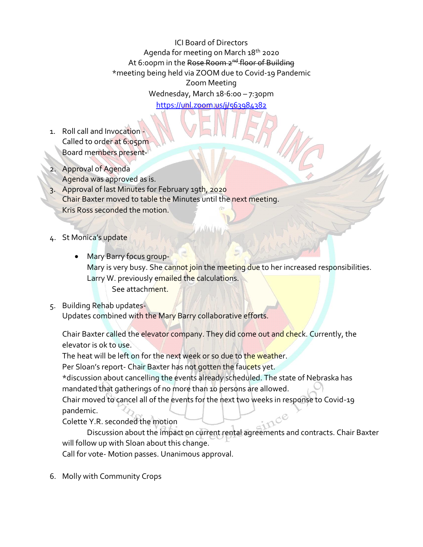ICI Board of Directors Agenda for meeting on March 18<sup>th</sup> 2020 At 6:00pm in the Rose Room 2<sup>nd</sup> floor of Building \*meeting being held via ZOOM due to Covid-19 Pandemic Zoom Meeting Wednesday, March 18⋅6:00 – 7:30pm

[https://unl.zoom.us/j/563984382](https://unl.zoom.us/j/563984382?fbclid=IwAR1V-FtZcjb7HwikxY4mIxxq4THCHEisVi__JGRhLxByJWdo1qFJ1QKJbvQ)

- 1. Roll call and Invocation Called to order at 6:05pm Board members present-
- 2. Approval of Agenda Agenda was approved as is.
- 3. Approval of last Minutes for February 19th, 2020 Chair Baxter moved to table the Minutes until the next meeting. Kris Ross seconded the motion.
- 4. St Monica's update
	- Mary Barry focus group-Mary is very busy. She cannot join the meeting due to her increased responsibilities. Larry W. previously emailed the calculations. See attachment.
- 5. Building Rehab updates-

Updates combined with the Mary Barry collaborative efforts.

Chair Baxter called the elevator company. They did come out and check. Currently, the elevator is ok to use.

The heat will be left on for the next week or so due to the weather.

Per Sloan's report- Chair Baxter has not gotten the faucets yet.

\*discussion about cancelling the events already scheduled. The state of Nebraska has mandated that gatherings of no more than 10 persons are allowed.

Chair moved to cancel all of the events for the next two weeks in response to Covid-19 pandemic.

Colette Y.R. seconded the motion

Discussion about the impact on current rental agreements and contracts. Chair Baxter will follow up with Sloan about this change.

Call for vote- Motion passes. Unanimous approval.

6. Molly with Community Crops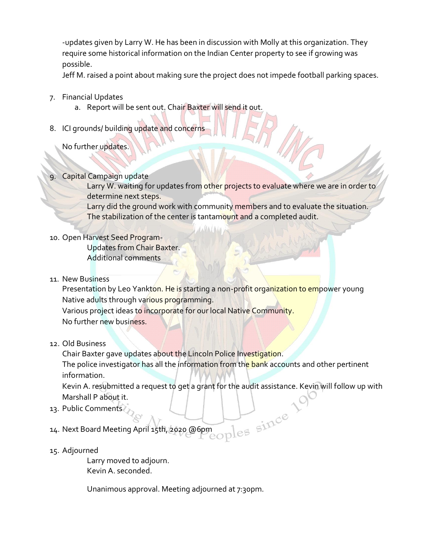-updates given by Larry W. He has been in discussion with Molly at this organization. They require some historical information on the Indian Center property to see if growing was possible.

Jeff M. raised a point about making sure the project does not impede football parking spaces.

- 7. Financial Updates
	- a. Report will be sent out. Chair Baxter will send it out.
- 8. ICI grounds/ building update and concerns
	- No further updates.

## **Capital Campaign update**

Larry W. waiting for updates from other projects to evaluate where we are in order to determine next steps.

Larry did the ground work with community members and to evaluate the situation. The stabilization of the center is tantamount and a completed audit.

## 10. Open Harvest Seed Program-

Updates from Chair Baxter. Additional comments

11. New Business

Presentation by Leo Yankton. He is starting a non-profit organization to empower young Native adults through various programming. Various project ideas to incorporate for our local Native Community.

No further new business.

## 12. Old Business

Chair Baxter gave updates about the Lincoln Police Investigation.

The police investigator has all the information from the bank accounts and other pertinent information.

Kevin A. resubmitted a request to get a grant for the audit assistance. Kevin will follow up with<br>Marshall P about it.<br>Public Comments<br>Next Board Meeting April 15th, 2020 @6pm Marshall P about it.

- 13. Public Comments
- 14. Next Board Meeting April 15th, 2020 @6pm
- 15. Adjourned

Larry moved to adjourn. Kevin A. seconded.

Unanimous approval. Meeting adjourned at 7:30pm.